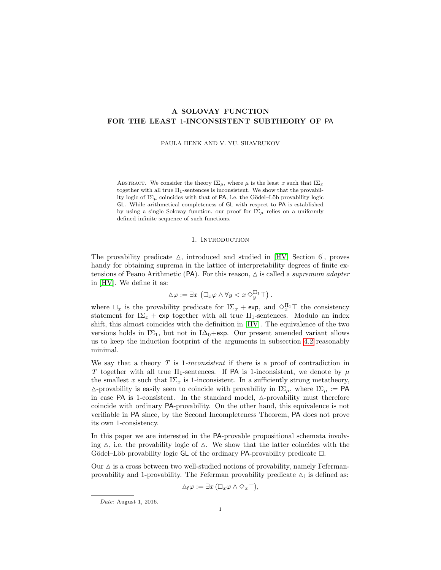# <span id="page-0-1"></span>A SOLOVAY FUNCTION FOR THE LEAST 1-INCONSISTENT SUBTHEORY OF PA

PAULA HENK AND V. YU. SHAVRUKOV

ABSTRACT. We consider the theory  $I\Sigma_{\mu}$ , where  $\mu$  is the least x such that  $I\Sigma_x$ together with all true  $\Pi_1$ -sentences is inconsistent. We show that the provability logic of  $I\Sigma_{\mu}$  coincides with that of PA, i.e. the Gödel–Löb provability logic GL. While arithmetical completeness of GL with respect to PA is established by using a single Solovay function, our proof for  $I\Sigma_{\mu}$  relies on a uniformly defined infinite sequence of such functions.

### 1. INTRODUCTION

<span id="page-0-0"></span>The provability predicate  $\Delta$ , introduced and studied in [\[HV,](#page-11-0) Section 6], proves handy for obtaining suprema in the lattice of interpretability degrees of finite extensions of Peano Arithmetic (PA). For this reason,  $\triangle$  is called a supremum adapter in [\[HV\]](#page-11-0). We define it as:

$$
\Delta \varphi := \exists x \left( \Box_x \varphi \wedge \forall y < x \Diamond_y^{\Pi_1} \top \right).
$$

where  $\Box_x$  is the provability predicate for  $I\Sigma_x$  + exp, and  $\diamondsuit_x^{\Pi_1}\top$  the consistency statement for  $I\Sigma_x$  + exp together with all true  $\Pi_1$ -sentences. Modulo an index shift, this almost coincides with the definition in [\[HV\]](#page-11-0). The equivalence of the two versions holds in I $\Sigma_1$ , but not in I $\Delta_0$ +exp. Our present amended variant allows us to keep the induction footprint of the arguments in subsection [4.2](#page-6-0) reasonably minimal.

We say that a theory  $T$  is 1-inconsistent if there is a proof of contradiction in T together with all true  $\Pi_1$ -sentences. If PA is 1-inconsistent, we denote by  $\mu$ the smallest x such that  $I\Sigma_x$  is 1-inconsistent. In a sufficiently strong metatheory,  $\triangle$ -provability is easily seen to coincide with provability in  $I\Sigma_{\mu}$ , where  $I\Sigma_{\mu} := PA$ in case PA is 1-consistent. In the standard model,  $\triangle$ -provability must therefore coincide with ordinary PA-provability. On the other hand, this equivalence is not verifiable in PA since, by the Second Incompleteness Theorem, PA does not prove its own 1-consistency.

In this paper we are interested in the PA-provable propositional schemata involving  $\Delta$ , i.e. the provability logic of  $\Delta$ . We show that the latter coincides with the Gödel–Löb provability logic GL of the ordinary PA-provability predicate  $\Box$ .

Our  $\Delta$  is a cross between two well-studied notions of provability, namely Fefermanprovability and 1-provability. The Feferman provability predicate  $\Delta_f$  is defined as:

$$
\Delta_f \varphi := \exists x \, (\Box_x \varphi \land \Diamond_x \top),
$$

Date: August 1, 2016.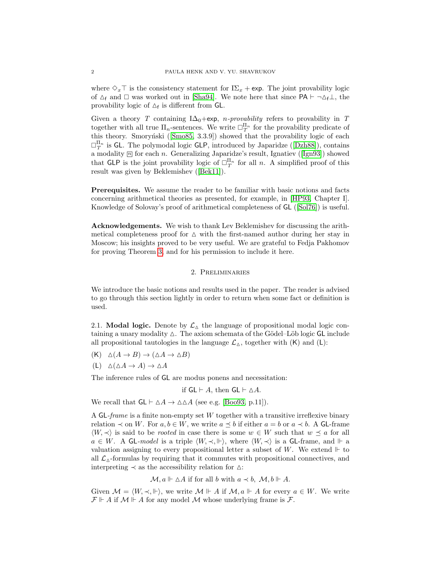where  $\Diamond_x \top$  is the consistency statement for  $I\Sigma_x + \exp$ . The joint provability logic of  $\Delta_f$  and  $\Box$  was worked out in [\[Sha94\]](#page-11-1). We note here that since PA  $\vdash \neg \Delta_f \bot$ , the provability logic of  $\Delta_f$  is different from GL.

Given a theory T containing I $\Delta_0$ +exp, n-provability refers to provability in T together with all true  $\Pi_n$ -sentences. We write  $\Box_T^{\Pi_n}$  for the provability predicate of thistheory. Smoryński ( $[\text{Smo85}, 3.3.9]$ ) showed that the provability logic of each  $\Box_T^{\Pi_n}$ is GL. The polymodal logic GLP, introduced by Japaridze ([\[Dzh88\]](#page-11-3)), contains amodality  $\overline{m}$  for each n. Generalizing Japaridze's result, Ignatiev ([\[Ign93\]](#page-11-4)) showed that GLP is the joint provability logic of  $\Box_T^{\Pi_n}$  for all n. A simplified proof of this result was given by Beklemishev ([\[Bek11\]](#page-11-5)).

Prerequisites. We assume the reader to be familiar with basic notions and facts concerning arithmetical theories as presented, for example, in [\[HP93,](#page-11-6) Chapter I]. Knowledge of Solovay's proof of arithmetical completeness of GL ([\[Sol76\]](#page-11-7)) is useful.

Acknowledgements. We wish to thank Lev Beklemishev for discussing the arithmetical completeness proof for  $\Delta$  with the first-named author during her stay in Moscow; his insights proved to be very useful. We are grateful to Fedja Pakhomov for proving Theorem [3,](#page-4-0) and for his permission to include it here.

## 2. Preliminaries

We introduce the basic notions and results used in the paper. The reader is advised to go through this section lightly in order to return when some fact or definition is used.

2.1. **Modal logic.** Denote by  $\mathcal{L}_{\Delta}$  the language of propositional modal logic containing a unary modality  $\Delta$ . The axiom schemata of the Gödel–Löb logic GL include all propositional tautologies in the language  $\mathcal{L}_{\Delta}$ , together with  $(K)$  and  $(L)$ :

- $(K)$   $\Delta(A \rightarrow B) \rightarrow (\Delta A \rightarrow \Delta B)$
- $(L)$   $\Delta(\Delta A \rightarrow A) \rightarrow \Delta A$

The inference rules of GL are modus ponens and necessitation:

if  $GL \vdash A$ , then  $GL \vdash \triangle A$ .

We recall that  $GL \vdash \Delta A \rightarrow \Delta \Delta A$  (see e.g. [\[Boo93,](#page-11-8) p.11]).

A GL-frame is a finite non-empty set W together with a transitive irreflexive binary relation  $\prec$  on W. For  $a, b \in W$ , we write  $a \preceq b$  if either  $a = b$  or  $a \prec b$ . A GL-frame  $\langle W, \prec \rangle$  is said to be *rooted* in case there is some  $w \in W$  such that  $w \prec a$  for all  $a \in W$ . A GL-model is a triple  $\langle W, \prec, \Vdash \rangle$ , where  $\langle W, \prec \rangle$  is a GL-frame, and  $\Vdash$  a valuation assigning to every propositional letter a subset of W. We extend  $\Vdash$  to all  $\mathcal{L}_{\Delta}$ -formulas by requiring that it commutes with propositional connectives, and interpreting  $\prec$  as the accessibility relation for  $\triangle$ :

$$
\mathcal{M}, a \Vdash \Delta A
$$
 if for all b with  $a \prec b$ ,  $\mathcal{M}, b \Vdash A$ .

Given  $\mathcal{M} = \langle W, \prec, \Vdash \rangle$ , we write  $\mathcal{M} \Vdash A$  if  $\mathcal{M}, a \Vdash A$  for every  $a \in W$ . We write  $\mathcal{F} \Vdash A$  if  $\mathcal{M} \Vdash A$  for any model  $\mathcal{M}$  whose underlying frame is  $\mathcal{F}$ .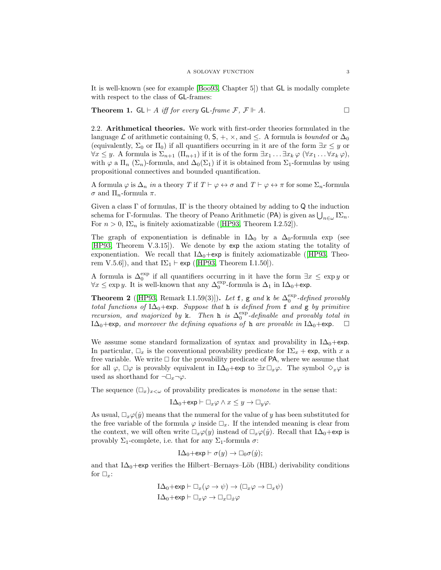It is well-known (see for example [\[Boo93,](#page-11-8) Chapter 5]) that GL is modally complete with respect to the class of GL-frames:

<span id="page-2-1"></span>**Theorem 1.**  $GL \vdash A$  *iff for every*  $GL\text{-}frame \mathcal{F}, \mathcal{F} \Vdash A$ .

2.2. Arithmetical theories. We work with first-order theories formulated in the language L of arithmetic containing 0,  $S_1 +$ ,  $\times$ , and  $\leq$ . A formula is *bounded* or  $\Delta_0$ (equivalently,  $\Sigma_0$  or  $\Pi_0$ ) if all quantifiers occurring in it are of the form  $\exists x \leq y$  or  $\forall x \leq y$ . A formula is  $\Sigma_{n+1}(\Pi_{n+1})$  if it is of the form  $\exists x_1 \dots \exists x_k \varphi$   $(\forall x_1 \dots \forall x_k \varphi)$ , with  $\varphi$  a  $\Pi_n$  ( $\Sigma_n$ )-formula, and  $\Delta_0(\Sigma_1)$  if it is obtained from  $\Sigma_1$ -formulas by using propositional connectives and bounded quantification.

A formula  $\varphi$  is  $\Delta_n$  in a theory T if  $T \vdash \varphi \leftrightarrow \sigma$  and  $T \vdash \varphi \leftrightarrow \pi$  for some  $\Sigma_n$ -formula σ and  $\Pi_n$ -formula π.

Given a class  $\Gamma$  of formulas, IT is the theory obtained by adding to Q the induction schema for Γ-formulas. The theory of Peano Arithmetic (PA) is given as  $\bigcup_{n\in\omega}I\Sigma_n$ . For $n > 0$ , I $\Sigma_n$  is finitely axiomatizable ([\[HP93,](#page-11-6) Theorem I.2.52]).

The graph of exponentiation is definable in  $I\Delta_0$  by a  $\Delta_0$ -formula exp (see [\[HP93,](#page-11-6) Theorem V.3.15]). We denote by exp the axiom stating the totality of exponentiation.We recall that  $I\Delta_0 + \exp$  is finitely axiomatizable ([\[HP93,](#page-11-6) Theorem V.5.6]), and that  $I\Sigma_1 \vdash \textsf{exp}$  ([\[HP93,](#page-11-6) Theorem I.1.50]).

A formula is  $\Delta_0^{\text{exp}}$  if all quantifiers occurring in it have the form  $\exists x \leq \exp y$  or  $\forall x \leq \exp y$ . It is well-known that any  $\Delta_0^{\exp}$ -formula is  $\Delta_1$  in I $\Delta_0$ +exp.

<span id="page-2-0"></span>**Theorem 2** ([\[HP93,](#page-11-6) Remark I.1.59(3)]). Let **f**, **g** and **k** be  $\Delta_0^{\text{exp}}$ -defined provably total functions of  $I\Delta_0$ +exp. Suppose that h is defined from f and g by primitive recursion, and majorized by k. Then h is  $\Delta_0^{\text{exp}}$ -definable and provably total in  $I\Delta_0$ +exp, and moreover the defining equations of h are provable in  $I\Delta_0$ +exp.  $\Box$ 

We assume some standard formalization of syntax and provability in  $I\Delta_0+e$ xp. In particular,  $\Box_x$  is the conventional provability predicate for  $I\Sigma_x + \exp$ , with x a free variable. We write  $\Box$  for the provability predicate of PA, where we assume that for all  $\varphi$ ,  $\Box \varphi$  is provably equivalent in I $\Delta_0$ +exp to  $\exists x \Box_x \varphi$ . The symbol  $\diamond_x \varphi$  is used as shorthand for  $\neg\Box_x\neg\varphi$ .

The sequence  $(\Box_x)_{x<\omega}$  of provability predicates is *monotone* in the sense that:

$$
I\Delta_0 + \exp \vdash \Box_x \varphi \wedge x \leq y \to \Box_y \varphi.
$$

As usual,  $\Box_x \varphi(\dot y)$  means that the numeral for the value of y has been substituted for the free variable of the formula  $\varphi$  inside  $\Box_x$ . If the intended meaning is clear from the context, we will often write  $\Box_x\varphi(y)$  instead of  $\Box_x\varphi(y)$ . Recall that I $\Delta_0$ +exp is provably  $\Sigma_1$ -complete, i.e. that for any  $\Sigma_1$ -formula  $\sigma$ :

$$
I\Delta_0+\exp \vdash \sigma(y)\to \Box_0 \sigma(\dot y);
$$

and that  $I\Delta_0$ +exp verifies the Hilbert–Bernays–Löb (HBL) derivability conditions for  $\Box_x$ :

$$
\begin{aligned} \mathrm{I}\Delta_0 + \mathrm{exp} \vdash \Box_x(\varphi \to \psi) &\to (\Box_x \varphi \to \Box_x \psi) \\ \mathrm{I}\Delta_0 + \mathrm{exp} \vdash \Box_x \varphi &\to \Box_x \Box_{\dot{x}} \varphi \end{aligned}
$$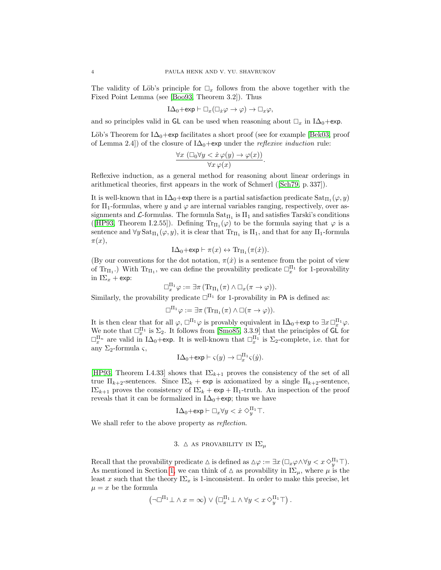The validity of Löb's principle for  $\Box_x$  follows from the above together with the Fixed Point Lemma (see [\[Boo93,](#page-11-8) Theorem 3.2]). Thus

$$
I\Delta_0+\exp \vdash \Box_x(\Box_x \varphi \to \varphi) \to \Box_x \varphi,
$$

and so principles valid in GL can be used when reasoning about  $\Box_x$  in I $\Delta_0$ +exp.

Löb's Theorem for  $I\Delta_0$ +exp facilitates a short proof (see for example [\[Bek03,](#page-11-9) proof of Lemma 2.4) of the closure of  $I\Delta_0+$ exp under the *reflexive induction* rule:

$$
\frac{\forall x \ (\Box_0 \forall y < \dot{x} \ \varphi(y) \to \varphi(x))}{\forall x \ \varphi(x)}.
$$

Reflexive induction, as a general method for reasoning about linear orderings in arithmetical theories, first appears in the work of Schmerl([\[Sch79,](#page-11-10) p. 337]).

It is well-known that in I $\Delta_0$ +exp there is a partial satisfaction predicate  $\text{Sat}_{\Pi_1}(\varphi, y)$ for  $\Pi_1$ -formulas, where y and  $\varphi$  are internal variables ranging, respectively, over assignments and  $\mathcal{L}$ -formulas. The formula  $\text{Sat}_{\Pi_1}$  is  $\Pi_1$  and satisfies Tarski's conditions ([\[HP93,](#page-11-6) Theorem I.2.55]). Defining  $Tr_{\Pi_1}(\varphi)$  to be the formula saying that  $\varphi$  is a sentence and  $\forall y \, \text{Sat}_{\Pi_1}(\varphi, y)$ , it is clear that  $\text{Tr}_{\Pi_1}$  is  $\Pi_1$ , and that for any  $\Pi_1$ -formula  $\pi(x),$ 

$$
I\Delta_0 + \exp \vdash \pi(x) \leftrightarrow \text{Tr}_{\Pi_1}(\pi(\dot{x})).
$$

(By our conventions for the dot notation,  $\pi(x)$  is a sentence from the point of view of Tr<sub>II</sub>.) With Tr<sub>II1</sub>, we can define the provability predicate  $\Box_x^{\Pi_1}$  for 1-provability in  $I\Sigma_x$  + exp:

$$
\Box_x^{\Pi_1} \varphi := \exists \pi \, (\mathrm{Tr}_{\Pi_1}(\pi) \wedge \Box_x(\pi \to \varphi)).
$$

Similarly, the provability predicate  $\square^{\Pi_1}$  for 1-provability in PA is defined as:

$$
\Box^{\Pi_1}\varphi:=\exists \pi\,(\mathrm{Tr}_{\Pi_1}(\pi)\wedge \Box(\pi\to\varphi)).
$$

It is then clear that for all  $\varphi$ ,  $\Box^{\Pi_1}\varphi$  is provably equivalent in  $I\Delta_0 + \exp$  to  $\exists x \Box_x^{\Pi_1}\varphi$ . We note that  $\Box_x^{\Pi_1}$  is  $\Sigma_2$ . It follows from [\[Smo85,](#page-11-2) 3.3.9] that the principles of GL for  $\Box_x^{\Pi_n}$  are valid in I $\Delta_0$ +exp. It is well-known that  $\Box_x^{\Pi_1}$  is  $\Sigma_2$ -complete, i.e. that for any  $\Sigma_2$ -formula  $\varsigma$ ,

$$
I\Delta_0 + \exp \vdash \varsigma(y) \to \Box_x^{\Pi_1} \varsigma(\dot{y}).
$$

[\[HP93,](#page-11-6) Theorem I.4.33] shows that  $I\Sigma_{k+1}$  proves the consistency of the set of all true  $\Pi_{k+2}$ -sentences. Since  $I\Sigma_k$  + exp is axiomatized by a single  $\Pi_{k+2}$ -sentence, I $\Sigma_{k+1}$  proves the consistency of I $\Sigma_k$  + exp +  $\Pi_1$ -truth. An inspection of the proof reveals that it can be formalized in  $I\Delta_0+$ exp; thus we have

$$
I\Delta_0 + \exp \vdash \Box_x \forall y < \dot{x} \Diamond_y^{\Pi_1} \top.
$$

We shall refer to the above property as reflection.

# 3.  $\triangle$  AS PROVABILITY IN  $I\Sigma_{\mu}$

Recall that the provability predicate  $\Delta$  is defined as  $\Delta \varphi := \exists x (\Box_x \varphi \wedge \forall y < x \Diamond_y^{\Pi_1} \top)$ . As mentioned in Section [1,](#page-0-0) we can think of  $\Delta$  as provability in I $\Sigma_{\mu}$ , where  $\mu$  is the least x such that the theory  $I\Sigma_x$  is 1-inconsistent. In order to make this precise, let  $\mu = x$  be the formula

$$
\left(\neg \Box^{\Pi_1} \bot \land x = \infty\right) \lor \left(\Box^{\Pi_1}_x \bot \land \forall y < x \Diamond^{\Pi_1}_y \top\right).
$$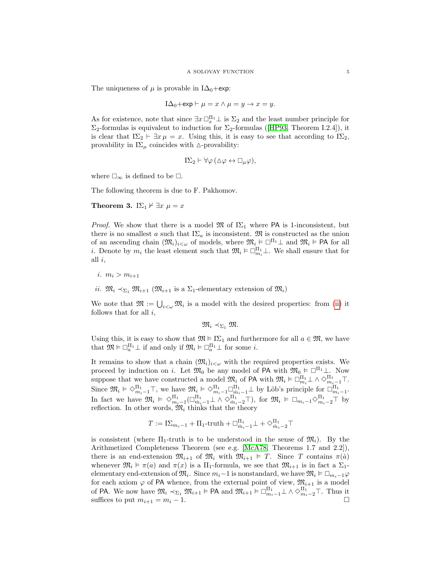The uniqueness of  $\mu$  is provable in I $\Delta_0$ +exp:

$$
I\Delta_0 + \exp \vdash \mu = x \land \mu = y \to x = y.
$$

As for existence, note that since  $\exists x \Box_x^{\Pi_1} \bot$  is  $\Sigma_2$  and the least number principle for  $\Sigma_2$ -formulasis equivalent to induction for  $\Sigma_2$ -formulas ([\[HP93,](#page-11-6) Theorem I.2.4]), it is clear that  $I\Sigma_2 \vdash \exists x \mu = x$ . Using this, it is easy to see that according to  $I\Sigma_2$ , provability in  $I\Sigma_{\mu}$  coincides with  $\Delta$ -provability:

$$
I\Sigma_2 \vdash \forall \varphi \, (\Delta \varphi \leftrightarrow \Box_{\mu} \varphi),
$$

where  $\square_{\infty}$  is defined to be  $\square.$ 

The following theorem is due to F. Pakhomov.

<span id="page-4-0"></span>Theorem 3. I $\Sigma_1 \nvDash \exists x \mu = x$ 

*Proof.* We show that there is a model  $\mathfrak{M}$  of  $I\Sigma_1$  where PA is 1-inconsistent, but there is no smallest a such that  $I\Sigma_a$  is inconsistent. M is constructed as the union of an ascending chain  $(\mathfrak{M}_i)_{i<\omega}$  of models, where  $\mathfrak{M}_i \models \Box^{\Pi_1} \bot$  and  $\mathfrak{M}_i \models \mathsf{PA}$  for all *i*. Denote by  $m_i$  the least element such that  $\mathfrak{M}_i \vDash \Box_{m_i}^{\Pi_1} \bot$ . We shall ensure that for all  $i$ ,

- i.  $m_i > m_{i+1}$
- <span id="page-4-1"></span>ii.  $\mathfrak{M}_i \prec_{\Sigma_1} \mathfrak{M}_{i+1}$  ( $\mathfrak{M}_{i+1}$  is a  $\Sigma_1$ -elementary extension of  $\mathfrak{M}_i$ )

We note that  $\mathfrak{M} := \bigcup_{i<\omega} \mathfrak{M}_i$  is a model with the desired properties: from [\(ii\)](#page-4-1) it follows that for all  $i$ ,

 $\mathfrak{M}_i \prec_{\Sigma_1} \mathfrak{M}$ .

Using this, it is easy to show that  $\mathfrak{M} \models \mathrm{I}\Sigma_1$  and furthermore for all  $a \in \mathfrak{M}$ , we have that  $\mathfrak{M} \vDash \Box_a^{\Pi_1} \bot$  if and only if  $\mathfrak{M}_i \vDash \Box_a^{\Pi_1} \bot$  for some *i*.

It remains to show that a chain  $(\mathfrak{M}_i)_{i<\omega}$  with the required properties exists. We proceed by induction on i. Let  $\mathfrak{M}_0$  be any model of PA with  $\mathfrak{M}_0 \models \Box^{\Pi_1} \bot$ . Now suppose that we have constructed a model  $\mathfrak{M}_i$  of PA with  $\mathfrak{M}_i \vDash \Box_{m_i}^{\Pi_1} \bot \wedge \Diamond_{m_i-1}^{\Pi_1} \top$ . Since  $\mathfrak{M}_i \models \Diamond_{m_i-1}^{\Pi_1} \top$ , we have  $\mathfrak{M}_i \models \Diamond_{m_i-1}^{\Pi_1} \Box_{m_i-1}^{\Pi_1} \bot$  by Löb's principle for  $\Box_{m_i-1}^{\Pi_1}$ . In fact we have  $\mathfrak{M}_i \models \Diamond_{m_i-1}^{\Pi_1} (\Box_{m_i-1}^{\Pi_1} \bot \land \Diamond_{m_i-2}^{\Pi_1} \top)$ , for  $\mathfrak{M}_i \models \Box_{m_i-1} \Diamond_{m_i-2}^{\Pi_1} \top$  by reflection. In other words,  $\mathfrak{M}_i$  thinks that the theory

$$
T := \textbf{I}\Sigma_{m_i-1} + \Pi_1\text{-truth} + \Box_{\dot{m}_i-1}^{\Pi_1} \bot + \Diamond_{\dot{m}_i-2}^{\Pi_1} \top
$$

is consistent (where  $\Pi_1$ -truth is to be understood in the sense of  $\mathfrak{M}_i$ ). By the Arithmetized Completeness Theorem (see e.g. [\[McA78,](#page-11-11) Theorems 1.7 and 2.2]), there is an end-extension  $\mathfrak{M}_{i+1}$  of  $\mathfrak{M}_i$  with  $\mathfrak{M}_{i+1} \models T$ . Since T contains  $\pi(\dot{a})$ whenever  $\mathfrak{M}_i \models \pi(a)$  and  $\pi(x)$  is a  $\Pi_1$ -formula, we see that  $\mathfrak{M}_{i+1}$  is in fact a  $\Sigma_1$ elementary end-extension of  $\mathfrak{M}_i$ . Since  $m_i-1$  is nonstandard, we have  $\mathfrak{M}_i \vDash \Box_{m_i-1}\varphi$ for each axiom  $\varphi$  of PA whence, from the external point of view,  $\mathfrak{M}_{i+1}$  is a model of PA. We now have  $\mathfrak{M}_i \prec_{\Sigma_1} \mathfrak{M}_{i+1} \models \mathsf{PA}$  and  $\mathfrak{M}_{i+1} \models \Box_{m_i-1}^{\Pi_1} \bot \land \Diamond_{m_i-2}^{\Pi_1} \top$ . Thus it suffices to put  $m_{i+1} = m_i - 1$ .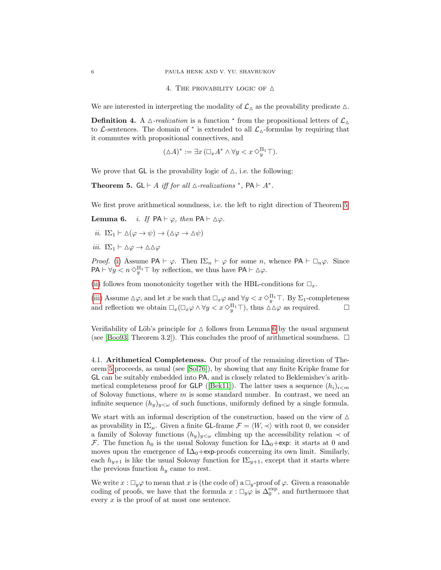4. THE PROVABILITY LOGIC OF  $\triangle$ 

We are interested in interpreting the modality of  $\mathcal{L}_{\Delta}$  as the provability predicate  $\Delta$ .

**Definition 4.** A  $\triangle$ -realization is a function  $*$  from the propositional letters of  $\mathcal{L}_{\triangle}$ to L-sentences. The domain of  $*$  is extended to all  $\mathcal{L}_{\Delta}$ -formulas by requiring that it commutes with propositional connectives, and

$$
(\Delta A)^* := \exists x \, (\Box_x A^* \wedge \forall y < x \, \Diamond_y^{\Pi_1} \top).
$$

We prove that  $GL$  is the provability logic of  $\Delta$ , i.e. the following:

<span id="page-5-0"></span>Theorem 5.  $GL \vdash A$  iff for all  $\triangle$ -realizations  $^*$ ,  $PA \vdash A^*$ .

<span id="page-5-1"></span>We first prove arithmetical soundness, i.e. the left to right direction of Theorem [5.](#page-5-0)

**Lemma 6.** *i. If*  $PA \vdash \varphi$ , then  $PA \vdash \Delta \varphi$ .

<span id="page-5-2"></span>
$$
ii. \ \mathrm{I}\Sigma_1 \vdash \Delta(\varphi \to \psi) \to (\Delta\varphi \to \Delta\psi)
$$

<span id="page-5-3"></span>iii.  $I\Sigma_1 \vdash \Delta \varphi \rightarrow \Delta \Delta \varphi$ 

*Proof.* [\(i\)](#page-5-1) Assume PA  $\vdash \varphi$ . Then  $I\Sigma_n \vdash \varphi$  for some n, whence PA  $\vdash \Box_n \varphi$ . Since  $PA \vdash \forall y \leq n \Diamond_y^{\Pi_1} \top$  by reflection, we thus have  $PA \vdash \Delta \varphi$ .

[\(ii\)](#page-5-2) follows from monotonicity together with the HBL-conditions for  $\Box_x$ .

[\(iii\)](#page-5-3) Assume  $\Delta \varphi$ , and let x be such that  $\Box_x \varphi$  and  $\forall y < x \Diamond_y^{\Pi_1} \top$ . By  $\Sigma_1$ -completeness and reflection we obtain  $\Box_x(\Box_x \varphi \land \forall y \lt x \Diamond_y^{\Pi_1} \top)$ , thus  $\Delta \Delta \varphi$  as required.  $\Box$ 

Verifiability of Löb's principle for  $\Delta$  follows from Lemma [6](#page-0-1) by the usual argument (see [\[Boo93,](#page-11-8) Theorem 3.2]). This concludes the proof of arithmetical soundness.  $\Box$ 

4.1. Arithmetical Completeness. Our proof of the remaining direction of Theorem [5](#page-5-0) proceeds, as usual (see [\[Sol76\]](#page-11-7)), by showing that any finite Kripke frame for GL can be suitably embedded into PA, and is closely related to Beklemishev's arith-metical completeness proof for GLP ([\[Bek11\]](#page-11-5)). The latter uses a sequence  $(h_i)_{i \leq m}$ of Solovay functions, where  $m$  is some standard number. In contrast, we need an infinite sequence  $(h_y)_{y<\omega}$  of such functions, uniformly defined by a single formula.

We start with an informal description of the construction, based on the view of  $\Delta$ as provability in I $\Sigma_{\mu}$ . Given a finite GL-frame  $\mathcal{F} = \langle W, \prec \rangle$  with root 0, we consider a family of Solovay functions  $(h_y)_{y<\omega}$  climbing up the accessibility relation  $\prec$  of F. The function  $h_0$  is the usual Solovay function for I $\Delta_0$ +exp: it starts at 0 and moves upon the emergence of  $I\Delta_0+$ exp-proofs concerning its own limit. Similarly, each  $h_{y+1}$  is like the usual Solovay function for  $I\Sigma_{y+1}$ , except that it starts where the previous function  $h_y$  came to rest.

We write  $x : \Box_y \varphi$  to mean that x is (the code of) a  $\Box_y$ -proof of  $\varphi$ . Given a reasonable coding of proofs, we have that the formula  $x: \Box_y \varphi$  is  $\Delta_0^{\text{exp}}$ , and furthermore that every x is the proof of at most one sentence.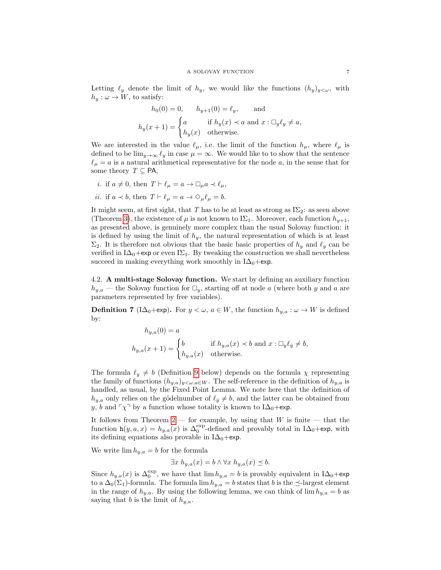Letting  $\ell_y$  denote the limit of  $h_y$ , we would like the functions  $(h_y)_{y<\omega}$ , with  $h_y: \omega \to W$ , to satisfy:

$$
h_0(0) = 0, \t h_{y+1}(0) = \ell_y, \t \text{and}
$$

$$
h_y(x+1) = \begin{cases} a & \text{if } h_y(x) \prec a \text{ and } x : \Box_y \ell_y \neq a, \\ h_y(x) & \text{otherwise.} \end{cases}
$$

We are interested in the value  $\ell_{\mu}$ , i.e. the limit of the function  $h_{\mu}$ , where  $\ell_{\mu}$  is defined to be  $\lim_{y\to\infty} \ell_y$  in case  $\mu = \infty$ . We would like to to show that the sentence  $\ell_{\mu} = a$  is a natural arithmetical representative for the node a, in the sense that for some theory  $T \subseteq \mathsf{PA}$ ,

- *i*. if  $a \neq 0$ , then  $T \vdash \ell_\mu = a \rightarrow \Box_\mu a \prec \ell_\mu$ ,
- *ii.* if  $a \prec b$ , then  $T \vdash \ell_{\mu} = a \rightarrow \Diamond_{\mu} \ell_{\mu} = b$ .

It might seem, at first sight, that T has to be at least as strong as  $I\Sigma_2$ : as seen above (Theorem [3\)](#page-4-0), the existence of  $\mu$  is not known to I $\Sigma_1$ . Moreover, each function  $h_{\nu+1}$ , as presented above, is genuinely more complex than the usual Solovay function: it is defined by using the limit of  $h_y$ , the natural representation of which is at least  $\Sigma_2$ . It is therefore not obvious that the basic basic properties of  $h_y$  and  $\ell_y$  can be verified in I $\Delta_0$ +exp or even I $\Sigma_1$ . By tweaking the construction we shall nevertheless succeed in making everything work smoothly in  $I\Delta_0+e^{i\phi}$ .

<span id="page-6-0"></span>4.2. A multi-stage Solovay function. We start by defining an auxiliary function  $h_{y,a}$  — the Solovay function for  $\Box_y$ , starting off at node a (where both y and a are parameters represented by free variables).

<span id="page-6-1"></span>**Definition 7** (I $\Delta_0$ +exp). For  $y < \omega$ ,  $a \in W$ , the function  $h_{y,a} : \omega \to W$  is defined by:

$$
h_{y,a}(0) = a
$$
  

$$
h_{y,a}(x+1) = \begin{cases} b & \text{if } h_{y,a}(x) \prec b \text{ and } x : \Box_y \ell_{\dot{y}} \neq b, \\ h_{y,a}(x) & \text{otherwise.} \end{cases}
$$

The formula  $\ell_y \neq b$  (Definition [9](#page-7-0) below) depends on the formula  $\chi$  representing the family of functions  $(h_{y,a})_{y<\omega,a\in W}$ . The self-reference in the definition of  $h_{y,a}$  is handled, as usual, by the Fixed Point Lemma. We note here that the definition of  $h_{y,a}$  only relies on the gödelnumber of  $\ell_y \neq b$ , and the latter can be obtained from y, b and  $\lceil \chi \rceil$  by a function whose totality is known to I $\Delta_0$ +exp.

It follows from Theorem  $2$  — for example, by using that W is finite — that the function  $h(y, a, x) = h_{y,a}(x)$  is  $\Delta_0^{\text{exp}}$ -defined and provably total in I $\Delta_0$ +exp, with its defining equations also provable in  $I\Delta_0+\exp$ .

We write  $\lim h_{y,a} = b$  for the formula

$$
\exists x \ h_{y,a}(x) = b \land \forall x \ h_{y,a}(x) \preceq b.
$$

Since  $h_{y,a}(x)$  is  $\Delta_0^{\text{exp}}$ , we have that  $\lim h_{y,a} = b$  is provably equivalent in I $\Delta_0 + \exp$ to a  $\Delta_0(\Sigma_1)$ -formula. The formula lim  $h_{y,a} = b$  states that b is the  $\preceq$ -largest element in the range of  $h_{y,a}$ . By using the following lemma, we can think of lim  $h_{y,a} = b$  as saying that b is the limit of  $h_{y,a}$ .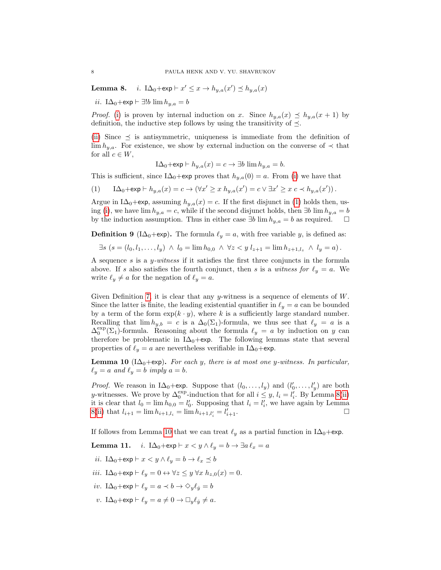<span id="page-7-1"></span>**Lemma 8.** *i.* I $\Delta_0 + \exp \vdash x' \leq x \rightarrow h_{y,a}(x') \leq h_{y,a}(x)$ 

<span id="page-7-2"></span>*ii*. I∆<sub>0</sub>+exp  $\vdash \exists !b \lim h_{u,a} = b$ 

*Proof.* [\(i\)](#page-7-1) is proven by internal induction on x. Since  $h_{y,a}(x) \preceq h_{y,a}(x+1)$  by definition, the inductive step follows by using the transitivity of  $\preceq$ .

[\(ii\)](#page-7-2) Since  $\preceq$  is antisymmetric, uniqueness is immediate from the definition of  $\lim h_{y,a}$ . For existence, we show by external induction on the converse of  $\prec$  that for all  $c \in W$ ,

$$
I\Delta_0 + \exp \vdash h_{y,a}(x) = c \to \exists b \lim h_{y,a} = b.
$$

This is sufficient, since I $\Delta_0$ +exp proves that  $h_{y,a}(0) = a$ . From [\(i\)](#page-7-1) we have that

<span id="page-7-3"></span>(1)  $I\Delta_0 + \exp \vdash h_{y,a}(x) = c \to (\forall x' \ge x \ h_{y,a}(x') = c \lor \exists x' \ge x \ c \prec h_{y,a}(x'))$ .

Argue in I $\Delta_0$ +exp, assuming  $h_{y,a}(x) = c$ . If the first disjunct in [\(1\)](#page-7-3) holds then, us-ing [\(i\)](#page-7-1), we have lim  $h_{y,a} = c$ , while if the second disjunct holds, then ∃b lim  $h_{y,a} = b$ by the induction assumption. Thus in either case  $\exists b \lim h_{y,a} = b$  as required.  $\Box$ 

<span id="page-7-0"></span>**Definition 9** (I $\Delta_0$ +exp). The formula  $\ell_y = a$ , with free variable y, is defined as:

 $\exists s \ (s = (l_0, l_1, \ldots, l_y) \ \land \ l_0 = \lim h_{0,0} \ \land \ \forall z < y \ l_{z+1} = \lim h_{z+1, l_z} \ \land \ l_y = a).$ 

A sequence  $s$  is a  $y$ -witness if it satisfies the first three conjuncts in the formula above. If s also satisfies the fourth conjunct, then s is a witness for  $\ell_y = a$ . We write  $\ell_y \neq a$  for the negation of  $\ell_y = a$ .

Given Definition [7,](#page-6-1) it is clear that any  $y$ -witness is a sequence of elements of  $W$ . Since the latter is finite, the leading existential quantifier in  $\ell_y = a$  can be bounded by a term of the form  $\exp(k \cdot y)$ , where k is a sufficiently large standard number. Recalling that  $\lim h_{y,b} = c$  is a  $\Delta_0(\Sigma_1)$ -formula, we thus see that  $\ell_y = a$  is a  $\Delta_0^{\text{exp}}(\Sigma_1)$ -formula. Reasoning about the formula  $\ell_y = a$  by induction on y can therefore be problematic in I $\Delta_0$ +exp. The following lemmas state that several properties of  $\ell_y = a$  are nevertheless verifiable in I $\Delta_0$ +exp.

<span id="page-7-4"></span>**Lemma 10** (I $\Delta_0$ +exp). For each y, there is at most one y-witness. In particular,  $\ell_y = a$  and  $\ell_y = b$  imply  $a = b$ .

*Proof.* We reason in I $\Delta_0$ +exp. Suppose that  $(l_0, \ldots, l_y)$  and  $(l'_0, \ldots, l'_y)$  are both y-witnesses. We prove by  $\Delta_0^{\text{exp}}$ -induction that for all  $i \leq y$ ,  $l_i = l'_i$ . By Lemma [8\(](#page-0-1)[ii\)](#page-7-2) it is clear that  $l_0 = \lim h_{0,0} = l'_0$ . Supposing that  $l_i = l'_i$ , we have again by Lemma [8\(](#page-0-1)[ii\)](#page-7-2) that  $l_{i+1} = \lim h_{i+1,l_i} = \lim h_{i+1,l'_i} = l'_i$  $\overline{i+1}$ .

If follows from Lemma [10](#page-7-4) that we can treat  $\ell_y$  as a partial function in I $\Delta_0$ +exp.

<span id="page-7-5"></span>Lemma 11. *i*. I $\Delta_0 + \exp \vdash x < y \wedge \ell_y = b \rightarrow \exists a \ell_x = a$ 

- <span id="page-7-6"></span>*ii.* I $\Delta_0$ +exp  $\vdash x < y \land \ell_y = b \rightarrow \ell_x \preceq b$
- <span id="page-7-7"></span>iii. I $\Delta_0 + \exp \vdash \ell_y = 0 \leftrightarrow \forall z \leq y \ \forall x \ h_{z,0}(x) = 0.$
- <span id="page-7-8"></span>iv. I $\Delta_0$ +exp  $\vdash \ell_y = a \prec b \rightarrow \Diamond_y \ell_y = b$
- <span id="page-7-9"></span>v.  $I\Delta_0 + \exp \vdash \ell_y = a \neq 0 \rightarrow \Box_y \ell_y \neq a$ .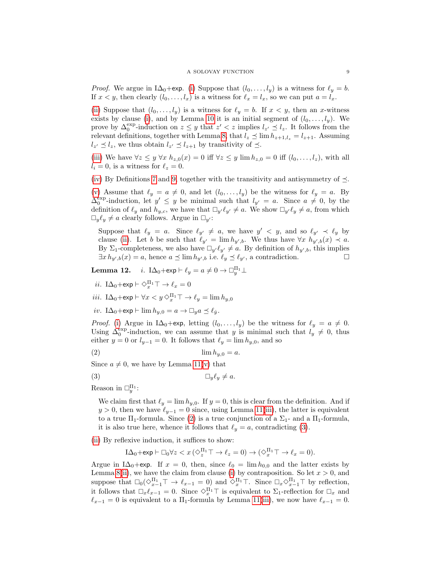*Proof.* We argue in I $\Delta_0$ +exp. [\(i\)](#page-7-5) Suppose that  $(l_0, \ldots, l_y)$  is a witness for  $\ell_y = b$ . If  $x < y$ , then clearly  $(l_0, \ldots, l_x)$  is a witness for  $\ell_x = l_x$ , so we can put  $a = l_x$ .

[\(ii\)](#page-7-6) Suppose that  $(l_0, \ldots, l_y)$  is a witness for  $\ell_y = b$ . If  $x < y$ , then an x-witness exists by clause [\(i\)](#page-7-5), and by Lemma [10](#page-7-4) it is an initial segment of  $(l_0, \ldots, l_y)$ . We prove by  $\Delta_0^{\text{exp}}$ -induction on  $z \leq y$  that  $z' < z$  implies  $l_{z'} \leq l_z$ . It follows from the relevant definitions, together with Lemma [8,](#page-0-1) that  $l_z \preceq \lim h_{z+1,l_z} = l_{z+1}$ . Assuming  $l_{z'} \preceq l_z$ , we thus obtain  $l_{z'} \preceq l_{z+1}$  by transitivity of  $\preceq$ .

[\(iii\)](#page-7-7) We have  $\forall z \leq y \ \forall x \ h_{z,0}(x) = 0$  iff  $\forall z \leq y \ \lim h_{z,0} = 0$  iff  $(l_0, \ldots, l_z)$ , with all  $l_i = 0$ , is a witness for  $\ell_z = 0$ .

[\(iv\)](#page-7-8) By Definitions [7](#page-6-1) and [9,](#page-7-0) together with the transitivity and antisymmetry of  $\preceq$ .

[\(v\)](#page-7-9) Assume that  $\ell_y = a \neq 0$ , and let  $(l_0, \ldots, l_y)$  be the witness for  $\ell_y = a$ . By  $\Delta_0^{\text{exp}}$ -induction, let  $y' \leq y$  be minimal such that  $l_{y'} = a$ . Since  $a \neq 0$ , by the definition of  $\ell_y$  and  $h_{y,c}$ , we have that  $\Box_{y'}\ell_{y'} \neq a$ . We show  $\Box_{y'}\ell_y \neq a$ , from which  $\Box_y \ell_y \neq a$  clearly follows. Argue in  $\Box_{y'}$ :

Suppose that  $\ell_y = a$ . Since  $\ell_{y'} \neq a$ , we have  $y' < y$ , and so  $\ell_{y'} \prec \ell_y$  by clause [\(ii\)](#page-7-6). Let b be such that  $\ell_{y'} = \lim h_{y',b}$ . We thus have  $\forall x \ h_{y',b}(x) \prec a$ . By  $\Sigma_1$ -completeness, we also have  $\Box_{y'} \ell_{y'} \neq a$ . By definition of  $h_{y',b}$ , this implies  $\exists x \, h_{y',b}(x) = a$ , hence  $a \preceq \lim h_{y',b}$  i.e.  $\ell_y \preceq \ell_{y'}$ , a contradiction.

<span id="page-8-0"></span>**Lemma 12.** *i*. I $\Delta_0$ +exp  $\vdash \ell_y = a \neq 0 \rightarrow \Box_y^{\Pi_1} \bot$ 

<span id="page-8-3"></span>
$$
ii. \ \ I\Delta_0 + \exp \vdash \Diamond_x^{\Pi_1} \top \to \ell_x = 0
$$

<span id="page-8-4"></span>iii. I $\Delta_0 + \exp \vdash \forall x < y \, \Diamond_x^{\Pi_1} \top \to \ell_y = \lim h_{y,0}$ 

<span id="page-8-5"></span>iv.  $I\Delta_0 + \exp \vdash \lim h_{u,0} = a \rightarrow \Box_u a \preceq \ell_u$ .

*Proof.* [\(i\)](#page-8-0) Argue in I $\Delta_0$ +exp, letting  $(l_0, \ldots, l_y)$  be the witness for  $\ell_y = a \neq 0$ . Using  $\Delta_0^{\text{exp}}$ -induction, we can assume that y is minimal such that  $l_y \neq 0$ , thus either y = 0 or  $l_{y-1}$  = 0. It follows that  $\ell_y = \lim h_{y,0}$ , and so

<span id="page-8-1"></span>(2) lim hy,<sup>0</sup> = a.

Since  $a \neq 0$ , we have by Lemma [11](#page-0-1)[\(v\)](#page-7-9) that

$$
(3) \t\t \t\t \Box_y \ell_y \neq a.
$$

Reason in  $\square_y^{\Pi_1}$ :

<span id="page-8-2"></span>We claim first that  $\ell_y = \lim h_{y,0}$ . If  $y = 0$ , this is clear from the definition. And if  $y > 0$ , then we have  $\ell_{y-1} = 0$  since, using Lemma [11](#page-0-1)[\(iii\)](#page-7-7), the latter is equivalent to a true  $\Pi_1$ -formula. Since [\(2\)](#page-8-1) is a true conjunction of a  $\Sigma_1$ - and a  $\Pi_1$ -formula, it is also true here, whence it follows that  $\ell_y = a$ , contradicting [\(3\)](#page-8-2).

[\(ii\)](#page-8-3) By reflexive induction, it suffices to show:

$$
I\Delta_0 + \exp \vdash \Box_0 \forall z < x \left( \Diamond_z^{\Pi_1} \top \to \ell_z = 0 \right) \to \left( \Diamond_x^{\Pi_1} \top \to \ell_x = 0 \right).
$$

Argue in I $\Delta_0$ +exp. If  $x = 0$ , then, since  $\ell_0 = \lim h_{0,0}$  and the latter exists by Lemma [8\(](#page-0-1)[ii\)](#page-7-2), we have the claim from clause [\(i\)](#page-8-0) by contraposition. So let  $x > 0$ , and suppose that  $\square_0(\lozenge_{x-1}^{\Pi_1} \top \rightarrow \ell_{x-1} = 0)$  and  $\lozenge_{x}^{\Pi_1} \top$ . Since  $\square_x \lozenge_{x-1}^{\Pi_1} \top$  by reflection, it follows that  $\Box_x \ell_{x-1} = 0$ . Since  $\Diamond_x^{\Pi_1} \top$  is equivalent to  $\Sigma_1$ -reflection for  $\Box_x$  and  $\ell_{x-1} = 0$  is equivalent to a  $\Pi_1$ -formula by Lemma [11](#page-0-1)[\(iii\)](#page-7-7), we now have  $\ell_{x-1} = 0$ .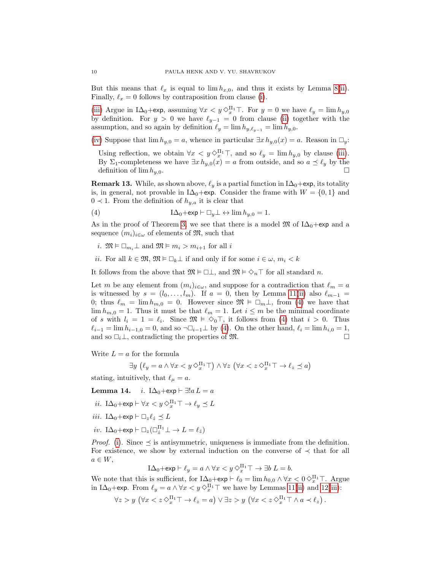But this means that  $\ell_x$  is equal to  $\lim h_{x,0}$ , and thus it exists by Lemma [8](#page-0-1)[\(ii\)](#page-7-2). Finally,  $\ell_x = 0$  follows by contraposition from clause [\(i\)](#page-8-0).

[\(iii\)](#page-8-4) Argue in  $I\Delta_0 + \exp$ , assuming  $\forall x < y \Diamond_x^{\Pi_1}$ . For  $y = 0$  we have  $\ell_y = \lim h_{y,0}$ by definition. For  $y > 0$  we have  $\ell_{y-1} = 0$  from clause [\(ii\)](#page-8-3) together with the assumption, and so again by definition  $\ell_y = \lim h_{y,\ell_{y-1}} = \lim h_{y,0}$ .

[\(iv\)](#page-8-5) Suppose that  $\lim h_{y,0} = a$ , whence in particular  $\exists x h_{y,0}(x) = a$ . Reason in  $\square_y$ :

Using reflection, we obtain  $\forall x < y \Diamond_{x}^{\Pi_1} \top$ , and so  $\ell_y = \lim h_{y,0}$  by clause [\(iii\)](#page-8-4). By  $\Sigma_1$ -completeness we have  $\exists x \, h_{y,0}(x) = a$  from outside, and so  $a \preceq \ell_y$  by the definition of  $\lim h_{u,0}$ .

**Remark 13.** While, as shown above,  $\ell_y$  is a partial function in I $\Delta_0$ +exp, its totality is, in general, not provable in I $\Delta_0$ +exp. Consider the frame with  $W = \{0, 1\}$  and  $0 \lt 1$ . From the definition of  $h_{y,a}$  it is clear that

<span id="page-9-0"></span>(4) 
$$
I\Delta_0 + \exp \vdash \Box_y \bot \leftrightarrow \lim h_{y,0} = 1.
$$

As in the proof of Theorem [3,](#page-4-0) we see that there is a model  $\mathfrak{M}$  of I $\Delta_0 + \exp$  and a sequence  $(m_i)_{i\in\omega}$  of elements of  $\mathfrak{M}$ , such that

- i.  $\mathfrak{M} \models \Box_{m_i} \bot$  and  $\mathfrak{M} \models m_i > m_{i+1}$  for all i
- ii. For all  $k \in \mathfrak{M}, \mathfrak{M} \models \Box_k \bot$  if and only if for some  $i \in \omega, m_i < k$

It follows from the above that  $\mathfrak{M} \models \Box \bot$ , and  $\mathfrak{M} \models \Diamond_n \top$  for all standard n.

Let m be any element from  $(m_i)_{i \in \omega}$ , and suppose for a contradiction that  $\ell_m = a$ is witnessed by  $s = (l_0, \ldots, l_m)$ . If  $a = 0$ , then by Lemma [11\(](#page-0-1)[ii\)](#page-7-6) also  $\ell_{m-1} =$ 0; thus  $\ell_m = \lim h_{m,0} = 0$ . However since  $\mathfrak{M} \models \Box_m \bot$ , from [\(4\)](#page-9-0) we have that  $\lim h_{m,0} = 1$ . Thus it must be that  $\ell_m = 1$ . Let  $i \leq m$  be the minimal coordinate of s with  $l_i = 1 = \ell_i$ . Since  $\mathfrak{M} \models \Diamond_0 \top$ , it follows from [\(4\)](#page-9-0) that  $i > 0$ . Thus  $\ell_{i-1} = \lim h_{i-1,0} = 0$ , and so  $\neg \Box_{i-1} \bot$  by [\(4\)](#page-9-0). On the other hand,  $\ell_i = \lim h_{i,0} = 1$ , and so  $\Box_i \bot$ , contradicting the properties of M.

Write  $L = a$  for the formula

$$
\exists y \ (\ell_y = a \land \forall x < y \Diamond_x^{\Pi_1} \top) \land \forall z \ (\forall x < z \Diamond_x^{\Pi_1} \top \to \ell_z \preceq a)
$$

stating, intuitively, that  $\ell_{\mu} = a$ .

<span id="page-9-1"></span>Lemma 14. *i*. I $\Delta_0$ +exp  $\vdash \exists ! a \, L = a$ 

- <span id="page-9-2"></span>*ii*. I $\Delta_0 + \exp \vdash \forall x < y \Diamond_x^{\Pi_1} \top \to \ell_y \preceq L$
- <span id="page-9-3"></span>iii.  $I\Delta_0 + \exp \vdash \Box_z \ell_z \preceq L$
- <span id="page-9-4"></span> $iv$ . I $\Delta_0 + \exp \vdash \Box_z (\Box_z^{\Pi_1} \bot \to L = \ell_z)$

*Proof.* [\(i\)](#page-9-1). Since  $\preceq$  is antisymmetric, uniqueness is immediate from the definition. For existence, we show by external induction on the converse of  $\prec$  that for all  $a \in W$ ,

$$
I\Delta_0 + \exp \vdash \ell_y = a \wedge \forall x < y \Diamond_x^{\Pi_1} \top \rightarrow \exists b \ L = b.
$$

We note that this is sufficient, for  $I\Delta_0 + \exp \vdash \ell_0 = \lim_{\Delta_0, 0} h_{0,0} \wedge \forall x < 0 \Diamond_{x=1}^{\Pi_1} \top$ . Argue in I $\Delta_0$ +exp. From  $\ell_y = a \wedge \forall x < y \vee_x^{\Pi_1}$  we have by Lemmas [11\(](#page-0-1)[ii\)](#page-7-6) and [12\(](#page-0-1)[iii\)](#page-8-4):

 $\forall z > y \ (\forall x < z \Diamond_x^{\Pi_1} \top \to \ell_z = a) \lor \exists z > y \ (\forall x < z \Diamond_x^{\Pi_1} \top \land a \prec \ell_z).$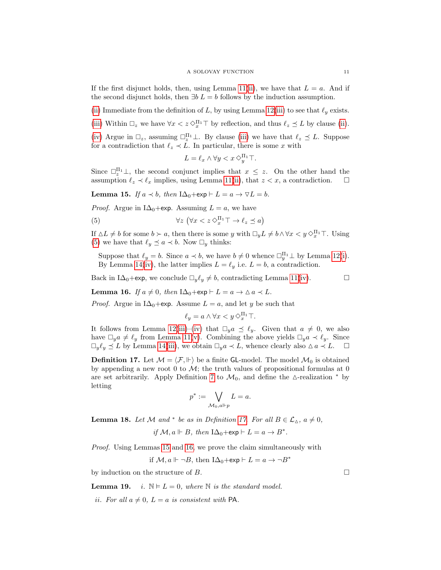If the first disjunct holds, then, using Lemma [11\(](#page-0-1)[ii\)](#page-7-6), we have that  $L = a$ . And if the second disjunct holds, then  $\exists b \ L = b$  follows by the induction assumption.

[\(ii\)](#page-9-2) Immediate from the definition of L, by using Lemma [12](#page-0-1)[\(iii\)](#page-8-4) to see that  $\ell_y$  exists.

[\(iii\)](#page-9-3) Within  $\Box_z$  we have  $\forall x < z \Diamond_x^{\Pi_1} \top$  by reflection, and thus  $\ell_z \preceq L$  by clause [\(ii\)](#page-9-2).

[\(iv\)](#page-9-4) Argue in  $\Box_z$ , assuming  $\Box_z^{\Pi_1} \bot$ . By clause [\(iii\)](#page-9-3) we have that  $\ell_z \preceq L$ . Suppose for a contradiction that  $\ell_z \prec L$ . In particular, there is some x with

<span id="page-10-0"></span>
$$
L = \ell_x \wedge \forall y < x \diamond^{\Pi_1}_y \top.
$$

Since  $\Box_z^{\Pi_1} \bot$ , the second conjunct implies that  $x \leq z$ . On the other hand the assumption  $\ell_z \prec \ell_x$  implies, using Lemma [11\(](#page-0-1)[ii\)](#page-7-6), that  $z < x$ , a contradiction.  $\square$ 

<span id="page-10-2"></span>**Lemma 15.** If  $a \prec b$ , then  $I\Delta_0 + \exp \vdash L = a \rightarrow \nabla L = b$ .

*Proof.* Argue in I $\Delta_0$ +exp. Assuming  $L = a$ , we have

(5) 
$$
\forall z \ (\forall x < z \Diamond_x^{\Pi_1} \top \to \ell_z \preceq a)
$$

If  $\Delta L \neq b$  for some  $b \succ a$ , then there is some y with  $\Box_y L \neq b \land \forall x < y \Diamond_x^{\Pi_1} \top$ . Using [\(5\)](#page-10-0) we have that  $\ell_y \preceq a \prec b$ . Now  $\square_y$  thinks:

Suppose that  $\ell_y = b$ . Since  $a \prec b$ , we have  $b \neq 0$  whence  $\Box_y^{\Pi_1} \bot$  by Lemma [12\(](#page-0-1)[i\)](#page-8-0). By Lemma [14\(](#page-0-1)[iv\)](#page-9-4), the latter implies  $L = \ell_y$  i.e.  $L = b$ , a contradiction.

Back in I $\Delta_0$ +exp, we conclude  $\Box_y \ell_y \neq b$ , contradicting Lemma [11\(](#page-0-1)[iv\)](#page-7-8).

<span id="page-10-3"></span>**Lemma 16.** If  $a \neq 0$ , then  $I\Delta_0 + \exp \vdash L = a \rightarrow \Delta a \prec L$ .

*Proof.* Argue in I $\Delta_0$ +exp. Assume  $L = a$ , and let y be such that

$$
\ell_y = a \wedge \forall x < y \diamond^{\Pi_1}_x \top.
$$

It follows from Lemma [12\(](#page-0-1)[iii\)](#page-8-4)–[\(iv\)](#page-8-5) that  $\Box_y a \preceq \ell_y$ . Given that  $a \neq 0$ , we also have  $\Box_y a \neq \ell_y$  from Lemma [11\(](#page-0-1)[v\)](#page-7-9). Combining the above yields  $\Box_y a \prec \ell_y$ . Since  $\Box_y \ell_y \preceq L$  by Lemma [14](#page-0-1)[\(iii\)](#page-9-3), we obtain  $\Box_y a \prec L$ , whence clearly also  $\Delta a \prec L$ .  $\Box$ 

<span id="page-10-1"></span>**Definition 17.** Let  $M = \langle F, \Vdash \rangle$  be a finite GL-model. The model  $M_0$  is obtained by appending a new root 0 to  $\mathcal{M}$ ; the truth values of propositional formulas at 0 are set arbitrarily. Apply Definition [7](#page-6-1) to  $\mathcal{M}_0$ , and define the  $\Delta$ -realization  $*$  by letting

$$
p^* := \bigvee_{\mathcal{M}_0, a \Vdash p} L = a.
$$

<span id="page-10-6"></span>**Lemma 18.** Let M and \* be as in Definition [17.](#page-10-1) For all  $B \in \mathcal{L}_{\Delta}$ ,  $a \neq 0$ ,

if  $M, a \Vdash B$ , then  $I\Delta_0 + \exp \vdash L = a \rightarrow B^*$ .

Proof. Using Lemmas [15](#page-10-2) and [16,](#page-10-3) we prove the claim simultaneously with

if  $\mathcal{M}, a \Vdash \neg B$ , then  $I\Delta_0 + \exp \vdash L = a \rightarrow \neg B^*$ 

by induction on the structure of  $B$ .

<span id="page-10-5"></span><span id="page-10-4"></span>**Lemma 19.** i.  $\mathbb{N} \models L = 0$ , where  $\mathbb{N}$  is the standard model.

ii. For all  $a \neq 0$ ,  $L = a$  is consistent with PA.